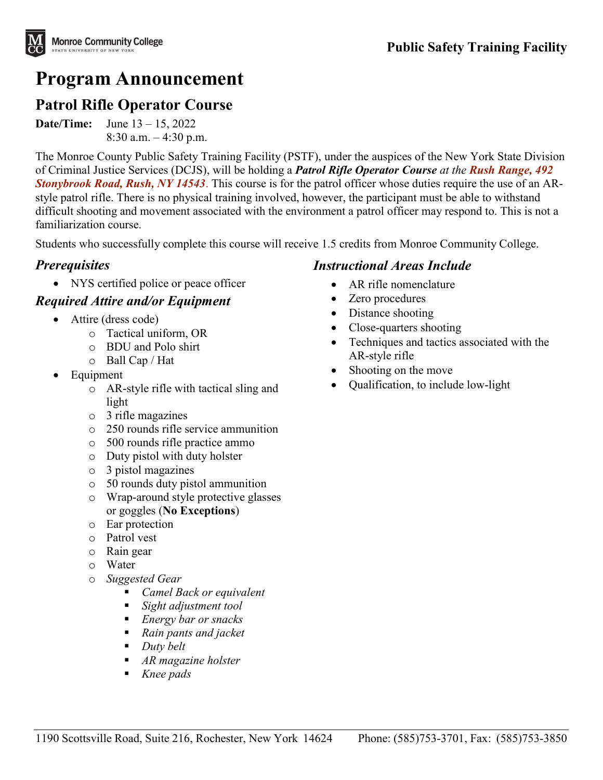# **Program Announcement**

# **Patrol Rifle Operator Course**

**Date/Time:** June 13 – 15, 2022  $8:30$  a.m.  $-4:30$  p.m.

The Monroe County Public Safety Training Facility (PSTF), under the auspices of the New York State Division of Criminal Justice Services (DCJS), will be holding a *Patrol Rifle Operator Course at the Rush Range, 492 Stonybrook Road, Rush, NY 14543*. This course is for the patrol officer whose duties require the use of an ARstyle patrol rifle. There is no physical training involved, however, the participant must be able to withstand difficult shooting and movement associated with the environment a patrol officer may respond to. This is not a familiarization course.

Students who successfully complete this course will receive 1.5 credits from Monroe Community College.

#### *Prerequisites*

• NYS certified police or peace officer

#### *Required Attire and/or Equipment*

- Attire (dress code)
	- o Tactical uniform, OR
	- o BDU and Polo shirt
	- o Ball Cap / Hat
- Equipment
	- o AR-style rifle with tactical sling and light
	- o 3 rifle magazines
	- o 250 rounds rifle service ammunition
	- o 500 rounds rifle practice ammo
	- o Duty pistol with duty holster
	- o 3 pistol magazines
	- o 50 rounds duty pistol ammunition
	- o Wrap-around style protective glasses or goggles (**No Exceptions**)
	- o Ear protection
	- o Patrol vest
	- o Rain gear
	- o Water
	- o *Suggested Gear* 
		- *Camel Back or equivalent*
		- *Sight adjustment tool*
		- *Energy bar or snacks*
		- *Rain pants and jacket*
		- *Duty belt*
		- *AR magazine holster*
		- *Knee pads*

#### *Instructional Areas Include*

- AR rifle nomenclature
- Zero procedures
- Distance shooting
- Close-quarters shooting
- Techniques and tactics associated with the AR-style rifle
- Shooting on the move
- Qualification, to include low-light